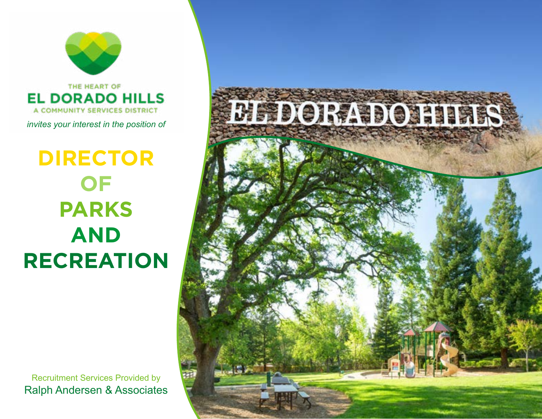

# **DIRECTOR OF PARKS AND RECREATION**

Recruitment Services Provided by Ralph Andersen & Associates

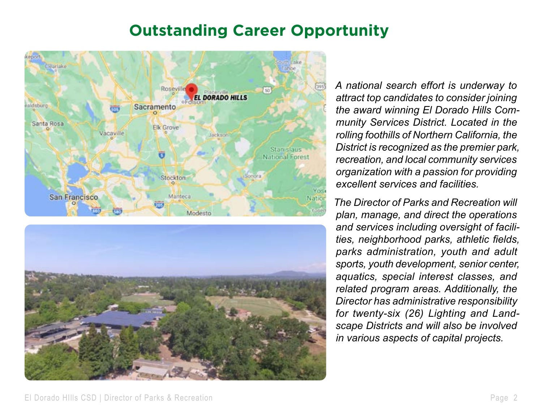### **Outstanding Career Opportunity**





*A national search effort is underway to attract top candidates to consider joining the award winning El Dorado Hills Community Services District. Located in the rolling foothills of Northern California, the District is recognized as the premier park, recreation, and local community services organization with a passion for providing excellent services and facilities.* 

*The Director of Parks and Recreation will plan, manage, and direct the operations and services including oversight of facilities, neighborhood parks, athletic fields, parks administration, youth and adult sports, youth development, senior center, aquatics, special interest classes, and related program areas. Additionally, the Director has administrative responsibility for twenty-six (26) Lighting and Landscape Districts and will also be involved in various aspects of capital projects.*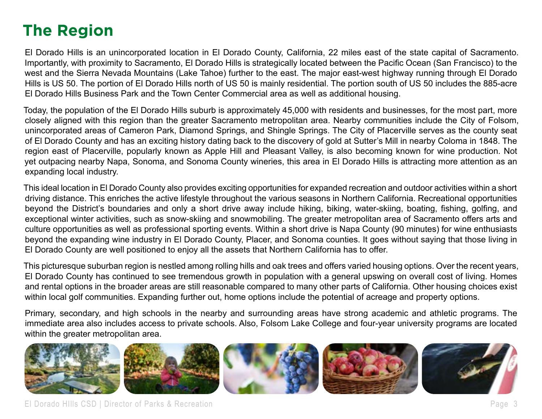## **The Region**

El Dorado Hills is an unincorporated location in El Dorado County, California, 22 miles east of the state capital of Sacramento. Importantly, with proximity to Sacramento, El Dorado Hills is strategically located between the Pacific Ocean (San Francisco) to the west and the Sierra Nevada Mountains (Lake Tahoe) further to the east. The major east-west highway running through El Dorado Hills is US 50. The portion of El Dorado Hills north of US 50 is mainly residential. The portion south of US 50 includes the 885-acre El Dorado Hills Business Park and the Town Center Commercial area as well as additional housing.

Today, the population of the El Dorado Hills suburb is approximately 45,000 with residents and businesses, for the most part, more closely aligned with this region than the greater Sacramento metropolitan area. Nearby communities include the City of Folsom, unincorporated areas of Cameron Park, Diamond Springs, and Shingle Springs. The City of Placerville serves as the county seat of El Dorado County and has an exciting history dating back to the discovery of gold at Sutter's Mill in nearby Coloma in 1848. The region east of Placerville, popularly known as Apple Hill and Pleasant Valley, is also becoming known for wine production. Not yet outpacing nearby Napa, Sonoma, and Sonoma County wineries, this area in El Dorado Hills is attracting more attention as an expanding local industry.

This ideal location in El Dorado County also provides exciting opportunities for expanded recreation and outdoor activities within a short driving distance. This enriches the active lifestyle throughout the various seasons in Northern California. Recreational opportunities beyond the District's boundaries and only a short drive away include hiking, biking, water-skiing, boating, fishing, golfing, and exceptional winter activities, such as snow-skiing and snowmobiling. The greater metropolitan area of Sacramento offers arts and culture opportunities as well as professional sporting events. Within a short drive is Napa County (90 minutes) for wine enthusiasts beyond the expanding wine industry in El Dorado County, Placer, and Sonoma counties. It goes without saying that those living in El Dorado County are well positioned to enjoy all the assets that Northern California has to offer.

This picturesque suburban region is nestled among rolling hills and oak trees and offers varied housing options. Over the recent years, El Dorado County has continued to see tremendous growth in population with a general upswing on overall cost of living. Homes and rental options in the broader areas are still reasonable compared to many other parts of California. Other housing choices exist within local golf communities. Expanding further out, home options include the potential of acreage and property options.

Primary, secondary, and high schools in the nearby and surrounding areas have strong academic and athletic programs. The immediate area also includes access to private schools. Also, Folsom Lake College and four-year university programs are located within the greater metropolitan area.

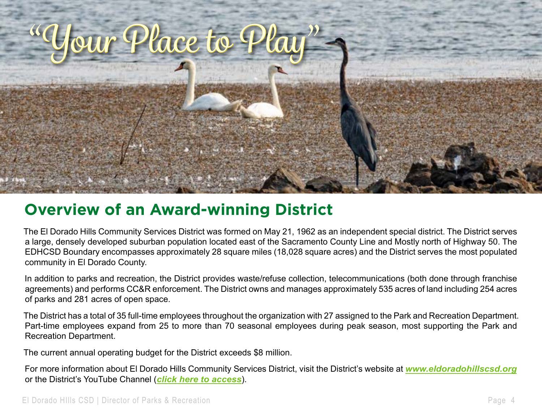

## **Overview of an Award-winning District**

The El Dorado Hills Community Services District was formed on May 21, 1962 as an independent special district. The District serves a large, densely developed suburban population located east of the Sacramento County Line and Mostly north of Highway 50. The EDHCSD Boundary encompasses approximately 28 square miles (18,028 square acres) and the District serves the most populated community in El Dorado County.

In addition to parks and recreation, the District provides waste/refuse collection, telecommunications (both done through franchise agreements) and performs CC&R enforcement. The District owns and manages approximately 535 acres of land including 254 acres of parks and 281 acres of open space.

The District has a total of 35 full-time employees throughout the organization with 27 assigned to the Park and Recreation Department. Part-time employees expand from 25 to more than 70 seasonal employees during peak season, most supporting the Park and Recreation Department.

The current annual operating budget for the District exceeds \$8 million.

For more information about El Dorado Hills Community Services District, visit the District's website at *www.eldoradohillscsd.org* or the District's YouTube Channel (*[click here to access](https://www.youtube.com/results?search_query=el+dorado+hills+community+services+district)*).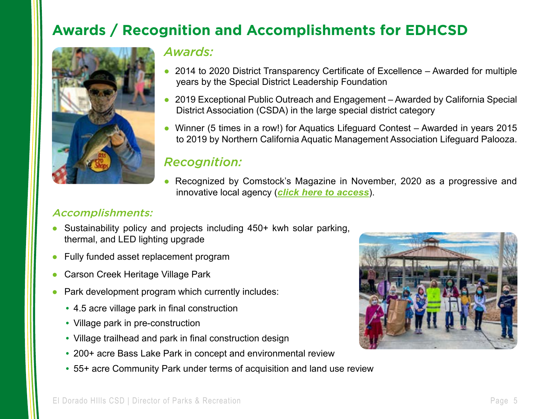## **Awards / Recognition and Accomplishments for EDHCSD**



### *Awards:*

- 2014 to 2020 District Transparency Certificate of Excellence Awarded for multiple years by the Special District Leadership Foundation
- 2019 Exceptional Public Outreach and Engagement Awarded by California Special District Association (CSDA) in the large special district category
- Winner (5 times in a row!) for Aquatics Lifeguard Contest Awarded in years 2015 to 2019 by Northern California Aquatic Management Association Lifeguard Palooza.

### *Recognition:*

• Recognized by Comstock's Magazine in November, 2020 as a progressive and innovative local agency (*[click here to access](https://viewer.joomag.com/1120-november-comstocks-magazine-november-2020/0335472001603996875?short&)*).

### Accomplishments:

- Sustainability policy and projects including 450+ kwh solar parking, thermal, and LED lighting upgrade
- Fully funded asset replacement program
- Carson Creek Heritage Village Park
- Park development program which currently includes:
	- 4.5 acre village park in final construction
	- Village park in pre-construction
	- Village trailhead and park in final construction design
	- 200+ acre Bass Lake Park in concept and environmental review
	- 55+ acre Community Park under terms of acquisition and land use review

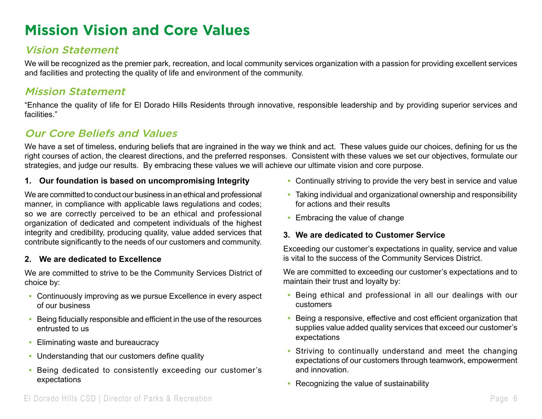### **Mission Vision and Core Values**

### Vision Statement

We will be recognized as the premier park, recreation, and local community services organization with a passion for providing excellent services and facilities and protecting the quality of life and environment of the community.

#### Mission Statement

"Enhance the quality of life for El Dorado Hills Residents through innovative, responsible leadership and by providing superior services and facilities."

### Our Core Beliefs and Values

We have a set of timeless, enduring beliefs that are ingrained in the way we think and act. These values guide our choices, defining for us the right courses of action, the clearest directions, and the preferred responses. Consistent with these values we set our objectives, formulate our strategies, and judge our results. By embracing these values we will achieve our ultimate vision and core purpose.

#### **1. Our foundation is based on uncompromising Integrity**

We are committed to conduct our business in an ethical and professional manner, in compliance with applicable laws regulations and codes; so we are correctly perceived to be an ethical and professional organization of dedicated and competent individuals of the highest integrity and credibility, producing quality, value added services that contribute significantly to the needs of our customers and community.

#### **2. We are dedicated to Excellence**

We are committed to strive to be the Community Services District of choice by:

- Continuously improving as we pursue Excellence in every aspect of our business
- Being fiducially responsible and efficient in the use of the resources entrusted to us
- Eliminating waste and bureaucracy
- Understanding that our customers define quality
- Being dedicated to consistently exceeding our customer's expectations
- Continually striving to provide the very best in service and value
- Taking individual and organizational ownership and responsibility for actions and their results
- Embracing the value of change

#### **3. We are dedicated to Customer Service**

Exceeding our customer's expectations in quality, service and value is vital to the success of the Community Services District.

We are committed to exceeding our customer's expectations and to maintain their trust and loyalty by:

- Being ethical and professional in all our dealings with our customers
- Being a responsive, effective and cost efficient organization that supplies value added quality services that exceed our customer's expectations
- Striving to continually understand and meet the changing expectations of our customers through teamwork, empowerment and innovation.
- Recognizing the value of sustainability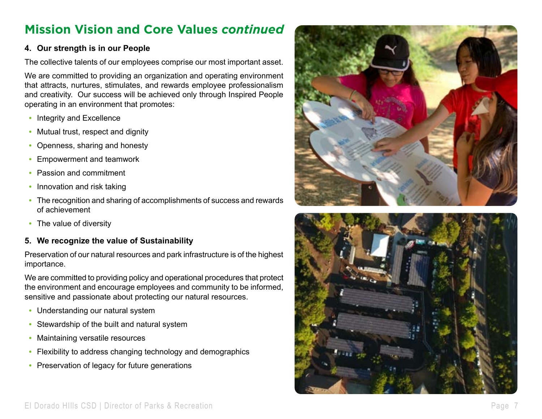### **Mission Vision and Core Values** *continued*

#### **4. Our strength is in our People**

The collective talents of our employees comprise our most important asset.

We are committed to providing an organization and operating environment that attracts, nurtures, stimulates, and rewards employee professionalism and creativity. Our success will be achieved only through Inspired People operating in an environment that promotes:

- Integrity and Excellence
- Mutual trust, respect and dignity
- Openness, sharing and honesty
- Empowerment and teamwork
- Passion and commitment
- Innovation and risk taking
- The recognition and sharing of accomplishments of success and rewards of achievement
- The value of diversity

#### **5. We recognize the value of Sustainability**

Preservation of our natural resources and park infrastructure is of the highest importance.

We are committed to providing policy and operational procedures that protect the environment and encourage employees and community to be informed, sensitive and passionate about protecting our natural resources.

- Understanding our natural system
- Stewardship of the built and natural system
- Maintaining versatile resources
- Flexibility to address changing technology and demographics
- Preservation of legacy for future generations



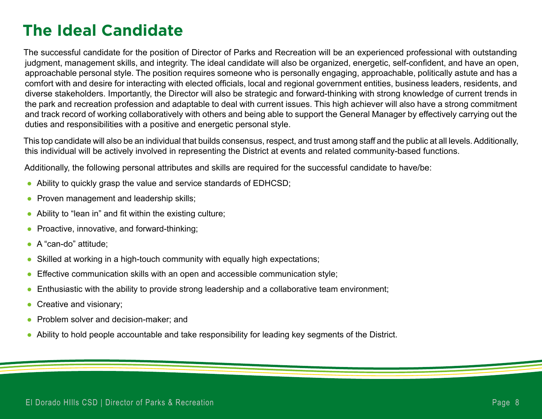## **The Ideal Candidate**

The successful candidate for the position of Director of Parks and Recreation will be an experienced professional with outstanding judgment, management skills, and integrity. The ideal candidate will also be organized, energetic, self-confident, and have an open, approachable personal style. The position requires someone who is personally engaging, approachable, politically astute and has a comfort with and desire for interacting with elected officials, local and regional government entities, business leaders, residents, and diverse stakeholders. Importantly, the Director will also be strategic and forward-thinking with strong knowledge of current trends in the park and recreation profession and adaptable to deal with current issues. This high achiever will also have a strong commitment and track record of working collaboratively with others and being able to support the General Manager by effectively carrying out the duties and responsibilities with a positive and energetic personal style.

This top candidate will also be an individual that builds consensus, respect, and trust among staff and the public at all levels. Additionally, this individual will be actively involved in representing the District at events and related community-based functions.

Additionally, the following personal attributes and skills are required for the successful candidate to have/be:

- Ability to quickly grasp the value and service standards of EDHCSD;
- Proven management and leadership skills;
- Ability to "lean in" and fit within the existing culture;
- Proactive, innovative, and forward-thinking;
- A "can-do" attitude:
- Skilled at working in a high-touch community with equally high expectations;
- Effective communication skills with an open and accessible communication style;
- Enthusiastic with the ability to provide strong leadership and a collaborative team environment;
- Creative and visionary;
- Problem solver and decision-maker; and
- Ability to hold people accountable and take responsibility for leading key segments of the District.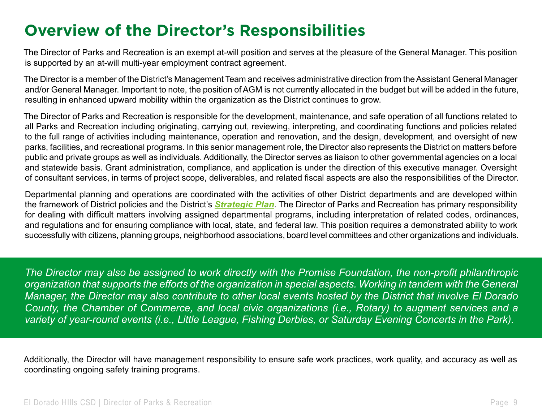## **Overview of the Director's Responsibilities**

The Director of Parks and Recreation is an exempt at-will position and serves at the pleasure of the General Manager. This position is supported by an at-will multi-year employment contract agreement.

The Director is a member of the District's Management Team and receives administrative direction from the Assistant General Manager and/or General Manager. Important to note, the position of AGM is not currently allocated in the budget but will be added in the future, resulting in enhanced upward mobility within the organization as the District continues to grow.

The Director of Parks and Recreation is responsible for the development, maintenance, and safe operation of all functions related to all Parks and Recreation including originating, carrying out, reviewing, interpreting, and coordinating functions and policies related to the full range of activities including maintenance, operation and renovation, and the design, development, and oversight of new parks, facilities, and recreational programs. In this senior management role, the Director also represents the District on matters before public and private groups as well as individuals. Additionally, the Director serves as liaison to other governmental agencies on a local and statewide basis. Grant administration, compliance, and application is under the direction of this executive manager. Oversight of consultant services, in terms of project scope, deliverables, and related fiscal aspects are also the responsibilities of the Director.

Departmental planning and operations are coordinated with the activities of other District departments and are developed within the framework of District policies and the District's *[Strategic Plan](https://cms8.revize.com/revize/eldoradohills/Document%20Center/Documents%20and%20Forms/edhcsd_strategic_plan__2013_2014.pdf)*. The Director of Parks and Recreation has primary responsibility for dealing with difficult matters involving assigned departmental programs, including interpretation of related codes, ordinances, and regulations and for ensuring compliance with local, state, and federal law. This position requires a demonstrated ability to work successfully with citizens, planning groups, neighborhood associations, board level committees and other organizations and individuals.

*The Director may also be assigned to work directly with the Promise Foundation, the non-profit philanthropic organization that supports the efforts of the organization in special aspects. Working in tandem with the General Manager, the Director may also contribute to other local events hosted by the District that involve El Dorado County, the Chamber of Commerce, and local civic organizations (i.e., Rotary) to augment services and a variety of year-round events (i.e., Little League, Fishing Derbies, or Saturday Evening Concerts in the Park).*

Additionally, the Director will have management responsibility to ensure safe work practices, work quality, and accuracy as well as coordinating ongoing safety training programs.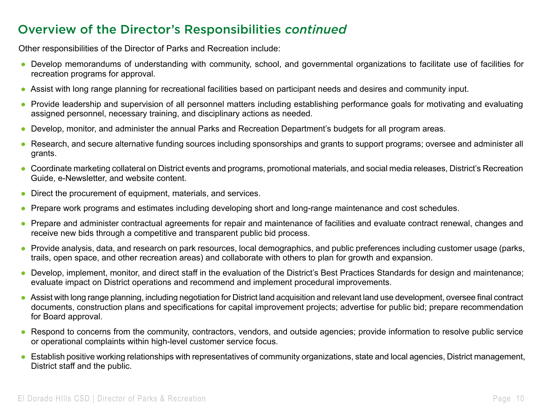### Overview of the Director's Responsibilities *continued*

Other responsibilities of the Director of Parks and Recreation include:

- Develop memorandums of understanding with community, school, and governmental organizations to facilitate use of facilities for recreation programs for approval.
- Assist with long range planning for recreational facilities based on participant needs and desires and community input.
- Provide leadership and supervision of all personnel matters including establishing performance goals for motivating and evaluating assigned personnel, necessary training, and disciplinary actions as needed.
- Develop, monitor, and administer the annual Parks and Recreation Department's budgets for all program areas.
- Research, and secure alternative funding sources including sponsorships and grants to support programs; oversee and administer all grants.
- Coordinate marketing collateral on District events and programs, promotional materials, and social media releases, District's Recreation Guide, e-Newsletter, and website content.
- Direct the procurement of equipment, materials, and services.
- Prepare work programs and estimates including developing short and long-range maintenance and cost schedules.
- Prepare and administer contractual agreements for repair and maintenance of facilities and evaluate contract renewal, changes and receive new bids through a competitive and transparent public bid process.
- Provide analysis, data, and research on park resources, local demographics, and public preferences including customer usage (parks, trails, open space, and other recreation areas) and collaborate with others to plan for growth and expansion.
- Develop, implement, monitor, and direct staff in the evaluation of the District's Best Practices Standards for design and maintenance; evaluate impact on District operations and recommend and implement procedural improvements.
- Assist with long range planning, including negotiation for District land acquisition and relevant land use development, oversee final contract documents, construction plans and specifications for capital improvement projects; advertise for public bid; prepare recommendation for Board approval.
- Respond to concerns from the community, contractors, vendors, and outside agencies; provide information to resolve public service or operational complaints within high-level customer service focus.
- Establish positive working relationships with representatives of community organizations, state and local agencies, District management, District staff and the public.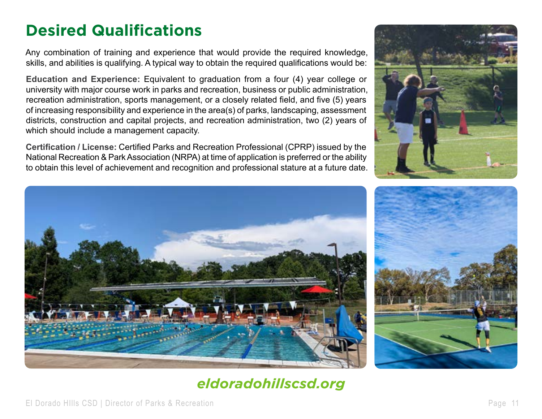## **Desired Qualifications**

Any combination of training and experience that would provide the required knowledge, skills, and abilities is qualifying. A typical way to obtain the required qualifications would be:

**Education and Experience:** Equivalent to graduation from a four (4) year college or university with major course work in parks and recreation, business or public administration, recreation administration, sports management, or a closely related field, and five (5) years of increasing responsibility and experience in the area(s) of parks, landscaping, assessment districts, construction and capital projects, and recreation administration, two (2) years of which should include a management capacity.

**Certification / License:** Certified Parks and Recreation Professional (CPRP) issued by the National Recreation & Park Association (NRPA) at time of application is preferred or the ability to obtain this level of achievement and recognition and professional stature at a future date.







### *[eldoradohillscsd.org](https://www.eldoradohillscsd.org/)*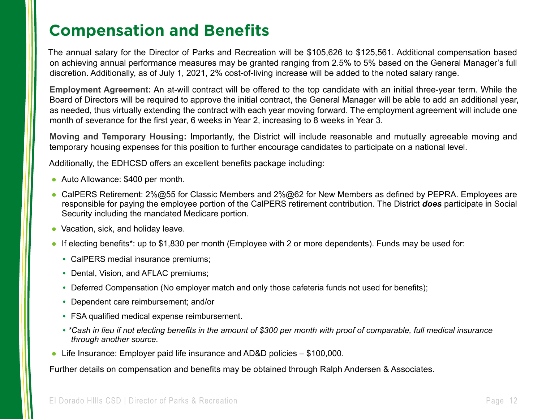### **Compensation and Benefits**

The annual salary for the Director of Parks and Recreation will be \$105,626 to \$125,561. Additional compensation based on achieving annual performance measures may be granted ranging from 2.5% to 5% based on the General Manager's full discretion. Additionally, as of July 1, 2021, 2% cost-of-living increase will be added to the noted salary range.

**Employment Agreement:** An at-will contract will be offered to the top candidate with an initial three-year term. While the Board of Directors will be required to approve the initial contract, the General Manager will be able to add an additional year, as needed, thus virtually extending the contract with each year moving forward. The employment agreement will include one month of severance for the first year, 6 weeks in Year 2, increasing to 8 weeks in Year 3.

**Moving and Temporary Housing:** Importantly, the District will include reasonable and mutually agreeable moving and temporary housing expenses for this position to further encourage candidates to participate on a national level.

Additionally, the EDHCSD offers an excellent benefits package including:

- Auto Allowance: \$400 per month.
- CalPERS Retirement: 2%@55 for Classic Members and 2%@62 for New Members as defined by PEPRA. Employees are responsible for paying the employee portion of the CalPERS retirement contribution. The District *does* participate in Social Security including the mandated Medicare portion.
- Vacation, sick, and holiday leave.
- If electing benefits\*: up to \$1,830 per month (Employee with 2 or more dependents). Funds may be used for:
	- CalPERS medial insurance premiums;
	- Dental, Vision, and AFLAC premiums;
	- Deferred Compensation (No employer match and only those cafeteria funds not used for benefits);
	- Dependent care reimbursement; and/or
	- FSA qualified medical expense reimbursement.
	- •*\*Cash in lieu if not electing benefits in the amount of \$300 per month with proof of comparable, full medical insurance through another source.*
- Life Insurance: Employer paid life insurance and AD&D policies \$100,000.

Further details on compensation and benefits may be obtained through Ralph Andersen & Associates.